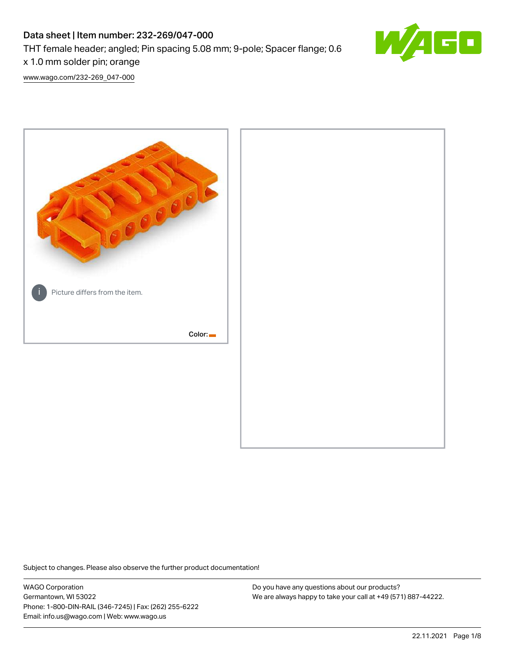# Data sheet | Item number: 232-269/047-000

THT female header; angled; Pin spacing 5.08 mm; 9-pole; Spacer flange; 0.6

x 1.0 mm solder pin; orange

[www.wago.com/232-269\\_047-000](http://www.wago.com/232-269_047-000)



Subject to changes. Please also observe the further product documentation!

WAGO Corporation Germantown, WI 53022 Phone: 1-800-DIN-RAIL (346-7245) | Fax: (262) 255-6222 Email: info.us@wago.com | Web: www.wago.us

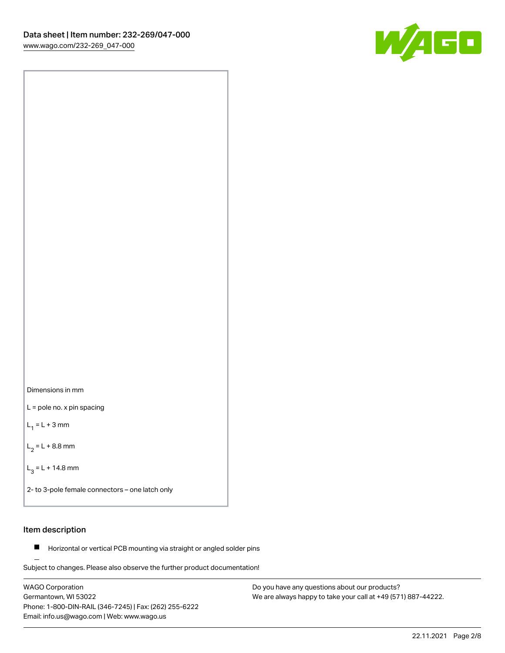

Dimensions in mm

L = pole no. x pin spacing

 $L_1 = L + 3$  mm

 $L_2 = L + 8.8$  mm

 $L_3 = L + 14.8$  mm

2- to 3-pole female connectors – one latch only

# Item description

**Horizontal or vertical PCB mounting via straight or angled solder pins** 

Subject to changes. Please also observe the further product documentation! For board-to-board and board-to-wire connections

WAGO Corporation Germantown, WI 53022 Phone: 1-800-DIN-RAIL (346-7245) | Fax: (262) 255-6222 Email: info.us@wago.com | Web: www.wago.us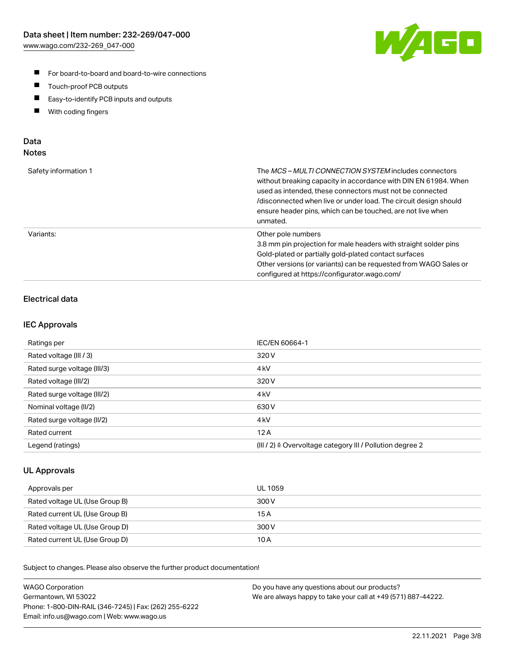

- For board-to-board and board-to-wire connections
- $\blacksquare$ Touch-proof PCB outputs
- $\blacksquare$ Easy-to-identify PCB inputs and outputs
- $\blacksquare$ With coding fingers

## Data **Notes**

| Safety information 1 | The <i>MCS – MULTI CONNECTION SYSTEM</i> includes connectors<br>without breaking capacity in accordance with DIN EN 61984. When<br>used as intended, these connectors must not be connected<br>/disconnected when live or under load. The circuit design should<br>ensure header pins, which can be touched, are not live when<br>unmated. |
|----------------------|--------------------------------------------------------------------------------------------------------------------------------------------------------------------------------------------------------------------------------------------------------------------------------------------------------------------------------------------|
| Variants:            | Other pole numbers<br>3.8 mm pin projection for male headers with straight solder pins<br>Gold-plated or partially gold-plated contact surfaces<br>Other versions (or variants) can be requested from WAGO Sales or<br>configured at https://configurator.wago.com/                                                                        |

# Electrical data

### IEC Approvals

| Ratings per                 | IEC/EN 60664-1                                                        |
|-----------------------------|-----------------------------------------------------------------------|
| Rated voltage (III / 3)     | 320 V                                                                 |
| Rated surge voltage (III/3) | 4 <sub>k</sub> V                                                      |
| Rated voltage (III/2)       | 320 V                                                                 |
| Rated surge voltage (III/2) | 4 <sub>k</sub> V                                                      |
| Nominal voltage (II/2)      | 630 V                                                                 |
| Rated surge voltage (II/2)  | 4 <sub>k</sub> V                                                      |
| Rated current               | 12A                                                                   |
| Legend (ratings)            | $(III / 2)$ $\triangle$ Overvoltage category III / Pollution degree 2 |

### UL Approvals

| Approvals per                  | UL 1059 |
|--------------------------------|---------|
| Rated voltage UL (Use Group B) | 300 V   |
| Rated current UL (Use Group B) | 15 A    |
| Rated voltage UL (Use Group D) | 300 V   |
| Rated current UL (Use Group D) | 10 A    |

Subject to changes. Please also observe the further product documentation!

| <b>WAGO Corporation</b>                                | Do you have any questions about our products?                 |
|--------------------------------------------------------|---------------------------------------------------------------|
| Germantown, WI 53022                                   | We are always happy to take your call at +49 (571) 887-44222. |
| Phone: 1-800-DIN-RAIL (346-7245)   Fax: (262) 255-6222 |                                                               |
| Email: info.us@wago.com   Web: www.wago.us             |                                                               |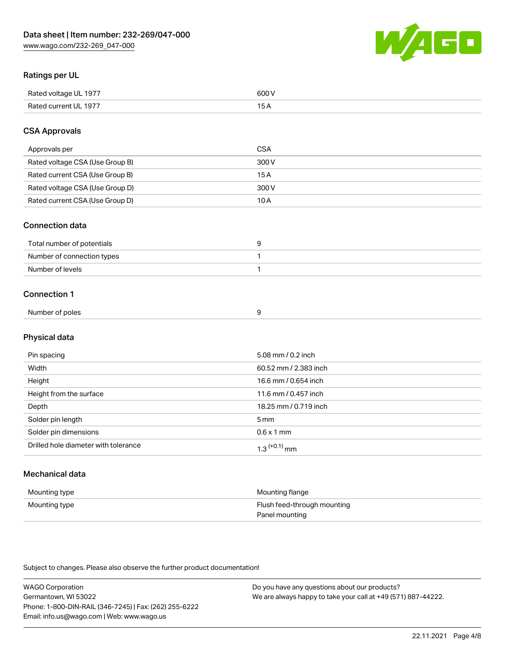

# Ratings per UL

| Rated voltage UL 1977 | 600   |
|-----------------------|-------|
| Rated current UL 1977 | . O F |

# CSA Approvals

| Approvals per                   | CSA   |
|---------------------------------|-------|
| Rated voltage CSA (Use Group B) | 300 V |
| Rated current CSA (Use Group B) | 15 A  |
| Rated voltage CSA (Use Group D) | 300 V |
| Rated current CSA (Use Group D) | 10 A  |

#### Connection data

| Total number of potentials |  |
|----------------------------|--|
| Number of connection types |  |
| Number of levels           |  |

#### Connection 1

| Number of poles |  |
|-----------------|--|
|                 |  |

# Physical data

| Pin spacing                          | 5.08 mm / 0.2 inch    |
|--------------------------------------|-----------------------|
| Width                                | 60.52 mm / 2.383 inch |
| Height                               | 16.6 mm / 0.654 inch  |
| Height from the surface              | 11.6 mm / 0.457 inch  |
| Depth                                | 18.25 mm / 0.719 inch |
| Solder pin length                    | 5 <sub>mm</sub>       |
| Solder pin dimensions                | $0.6 \times 1$ mm     |
| Drilled hole diameter with tolerance | $1.3$ $(+0.1)$ mm     |

# Mechanical data

| Mounting type | Mounting flange             |
|---------------|-----------------------------|
| Mounting type | Flush feed-through mounting |
|               | Panel mounting              |

Subject to changes. Please also observe the further product documentation!

| <b>WAGO Corporation</b>                                | Do you have any questions about our products?                 |
|--------------------------------------------------------|---------------------------------------------------------------|
| Germantown, WI 53022                                   | We are always happy to take your call at +49 (571) 887-44222. |
| Phone: 1-800-DIN-RAIL (346-7245)   Fax: (262) 255-6222 |                                                               |
| Email: info.us@wago.com   Web: www.wago.us             |                                                               |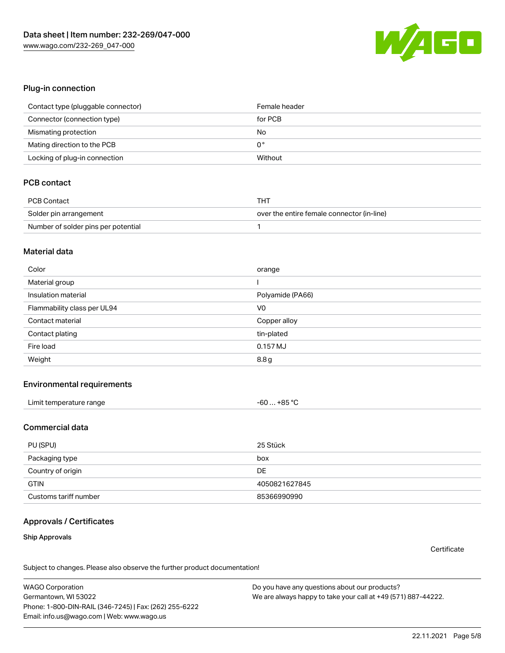

#### Plug-in connection

| Contact type (pluggable connector) | Female header |
|------------------------------------|---------------|
| Connector (connection type)        | for PCB       |
| Mismating protection               | No            |
| Mating direction to the PCB        | 0°            |
| Locking of plug-in connection      | Without       |

# PCB contact

| PCB Contact                         | THT                                        |
|-------------------------------------|--------------------------------------------|
| Solder pin arrangement              | over the entire female connector (in-line) |
| Number of solder pins per potential |                                            |

#### Material data

| Color                       | orange           |
|-----------------------------|------------------|
| Material group              |                  |
| Insulation material         | Polyamide (PA66) |
| Flammability class per UL94 | V <sub>0</sub>   |
| Contact material            | Copper alloy     |
| Contact plating             | tin-plated       |
| Fire load                   | 0.157 MJ         |
| Weight                      | 8.8g             |

#### Environmental requirements

| Limit temperature range | $-60+85 °C$ |  |
|-------------------------|-------------|--|
|-------------------------|-------------|--|

# Commercial data

| PU (SPU)              | 25 Stück      |
|-----------------------|---------------|
| Packaging type        | box           |
| Country of origin     | <b>DE</b>     |
| <b>GTIN</b>           | 4050821627845 |
| Customs tariff number | 85366990990   |

# Approvals / Certificates

#### Ship Approvals

**Certificate** 

Subject to changes. Please also observe the further product documentation!

WAGO Corporation Germantown, WI 53022 Phone: 1-800-DIN-RAIL (346-7245) | Fax: (262) 255-6222 Email: info.us@wago.com | Web: www.wago.us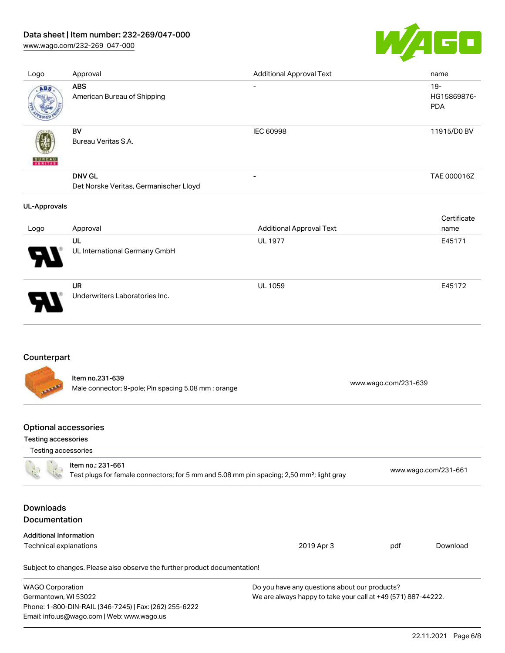# Data sheet | Item number: 232-269/047-000

[www.wago.com/232-269\\_047-000](http://www.wago.com/232-269_047-000)



| Logo                | Approval                                                | <b>Additional Approval Text</b> | name                                |
|---------------------|---------------------------------------------------------|---------------------------------|-------------------------------------|
| ABS                 | <b>ABS</b><br>American Bureau of Shipping               | $\overline{\phantom{a}}$        | $19 -$<br>HG15869876-<br><b>PDA</b> |
| VERITAS             | BV<br>Bureau Veritas S.A.                               | IEC 60998                       | 11915/D0 BV                         |
|                     | <b>DNV GL</b><br>Det Norske Veritas, Germanischer Lloyd | $\overline{\phantom{a}}$        | TAE 000016Z                         |
| <b>UL-Approvals</b> |                                                         |                                 |                                     |
| Logo                | Approval                                                | <b>Additional Approval Text</b> | Certificate<br>name                 |
|                     | UL<br>UL International Germany GmbH                     | <b>UL 1977</b>                  | E45171                              |
|                     | <b>UR</b><br>Underwriters Laboratories Inc.             | <b>UL 1059</b>                  | E45172                              |

# Counterpart

Item no.231-639 Male connector; 9-pole; Pin spacing 5.08 mm ; orange [www.wago.com/231-639](https://www.wago.com/231-639) www.wago.com/231-639

# Optional accessories

Email: info.us@wago.com | Web: www.wago.us

#### Testing accessories

| Testing accessories                                                                                                        |                                                                            |                                                               |     |                      |  |
|----------------------------------------------------------------------------------------------------------------------------|----------------------------------------------------------------------------|---------------------------------------------------------------|-----|----------------------|--|
| Item no.: 231-661<br>Test plugs for female connectors; for 5 mm and 5.08 mm pin spacing; 2,50 mm <sup>2</sup> ; light gray |                                                                            |                                                               |     | www.wago.com/231-661 |  |
| <b>Downloads</b><br><b>Documentation</b>                                                                                   |                                                                            |                                                               |     |                      |  |
| <b>Additional Information</b>                                                                                              |                                                                            |                                                               |     |                      |  |
| Technical explanations                                                                                                     |                                                                            | 2019 Apr 3                                                    | pdf | Download             |  |
|                                                                                                                            | Subject to changes. Please also observe the further product documentation! |                                                               |     |                      |  |
| <b>WAGO Corporation</b>                                                                                                    |                                                                            | Do you have any questions about our products?                 |     |                      |  |
| Germantown, WI 53022                                                                                                       |                                                                            | We are always happy to take your call at +49 (571) 887-44222. |     |                      |  |
|                                                                                                                            | Phone: 1-800-DIN-RAIL (346-7245)   Fax: (262) 255-6222                     |                                                               |     |                      |  |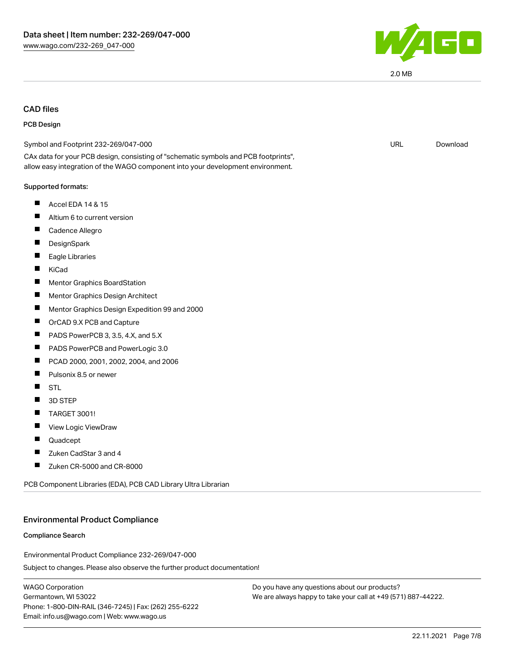

2.0 MB

# CAD files

#### PCB Design

| Symbol and Footprint 232-269/047-000                                                                                                                                   | <b>URL</b> | Download |
|------------------------------------------------------------------------------------------------------------------------------------------------------------------------|------------|----------|
| CAx data for your PCB design, consisting of "schematic symbols and PCB footprints",<br>allow easy integration of the WAGO component into your development environment. |            |          |
| Supported formats:                                                                                                                                                     |            |          |
| Ш<br>Accel EDA 14 & 15                                                                                                                                                 |            |          |
| Altium 6 to current version                                                                                                                                            |            |          |
| Cadence Allegro                                                                                                                                                        |            |          |
| DesignSpark                                                                                                                                                            |            |          |
| Eagle Libraries                                                                                                                                                        |            |          |
| KiCad                                                                                                                                                                  |            |          |
| <b>Mentor Graphics BoardStation</b>                                                                                                                                    |            |          |
| ш<br>Mentor Graphics Design Architect                                                                                                                                  |            |          |
| Mentor Graphics Design Expedition 99 and 2000                                                                                                                          |            |          |
| ш<br>OrCAD 9.X PCB and Capture                                                                                                                                         |            |          |
| PADS PowerPCB 3, 3.5, 4.X, and 5.X                                                                                                                                     |            |          |
| ш<br>PADS PowerPCB and PowerLogic 3.0                                                                                                                                  |            |          |
| PCAD 2000, 2001, 2002, 2004, and 2006                                                                                                                                  |            |          |
| Pulsonix 8.5 or newer<br>Ш                                                                                                                                             |            |          |
| <b>STL</b>                                                                                                                                                             |            |          |
| 3D STEP                                                                                                                                                                |            |          |
| Ш<br><b>TARGET 3001!</b>                                                                                                                                               |            |          |
| ш<br>View Logic ViewDraw                                                                                                                                               |            |          |
| Quadcept                                                                                                                                                               |            |          |
| Zuken CadStar 3 and 4                                                                                                                                                  |            |          |
| Zuken CR-5000 and CR-8000<br>ш                                                                                                                                         |            |          |
|                                                                                                                                                                        |            |          |

PCB Component Libraries (EDA), PCB CAD Library Ultra Librarian

#### Environmental Product Compliance

#### Compliance Search

Environmental Product Compliance 232-269/047-000

Subject to changes. Please also observe the further product documentation!

WAGO Corporation Germantown, WI 53022 Phone: 1-800-DIN-RAIL (346-7245) | Fax: (262) 255-6222 Email: info.us@wago.com | Web: www.wago.us